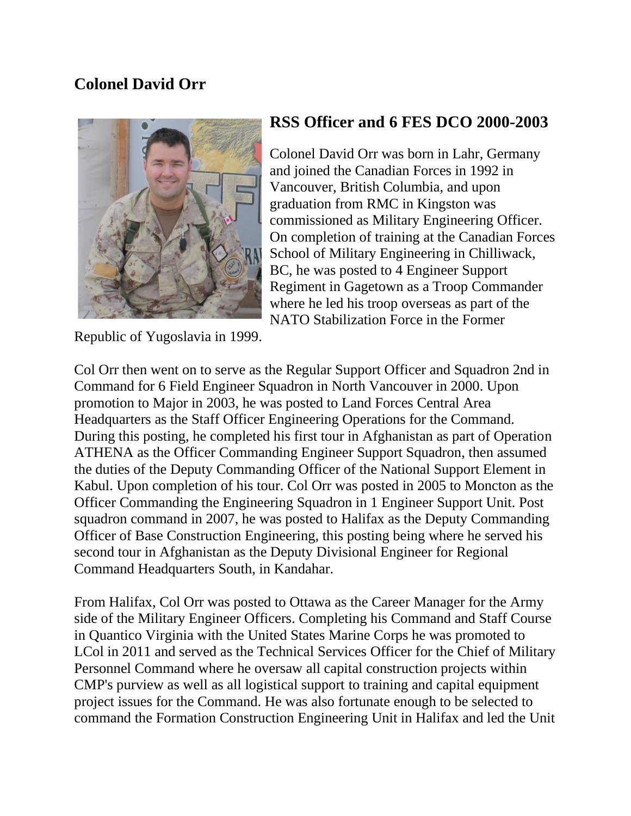## **Colonel David Orr**



Republic of Yugoslavia in 1999.

## **RSS Officer and 6 FES DCO 2000-2003**

Colonel David Orr was born in Lahr, Germany and joined the Canadian Forces in 1992 in Vancouver, British Columbia, and upon graduation from RMC in Kingston was commissioned as Military Engineering Officer. On completion of training at the Canadian Forces School of Military Engineering in Chilliwack, BC, he was posted to 4 Engineer Support Regiment in Gagetown as a Troop Commander where he led his troop overseas as part of the NATO Stabilization Force in the Former

Col Orr then went on to serve as the Regular Support Officer and Squadron 2nd in Command for 6 Field Engineer Squadron in North Vancouver in 2000. Upon promotion to Major in 2003, he was posted to Land Forces Central Area Headquarters as the Staff Officer Engineering Operations for the Command. During this posting, he completed his first tour in Afghanistan as part of Operation ATHENA as the Officer Commanding Engineer Support Squadron, then assumed the duties of the Deputy Commanding Officer of the National Support Element in Kabul. Upon completion of his tour. Col Orr was posted in 2005 to Moncton as the Officer Commanding the Engineering Squadron in 1 Engineer Support Unit. Post squadron command in 2007, he was posted to Halifax as the Deputy Commanding Officer of Base Construction Engineering, this posting being where he served his second tour in Afghanistan as the Deputy Divisional Engineer for Regional Command Headquarters South, in Kandahar.

From Halifax, Col Orr was posted to Ottawa as the Career Manager for the Army side of the Military Engineer Officers. Completing his Command and Staff Course in Quantico Virginia with the United States Marine Corps he was promoted to LCol in 2011 and served as the Technical Services Officer for the Chief of Military Personnel Command where he oversaw all capital construction projects within CMP's purview as well as all logistical support to training and capital equipment project issues for the Command. He was also fortunate enough to be selected to command the Formation Construction Engineering Unit in Halifax and led the Unit